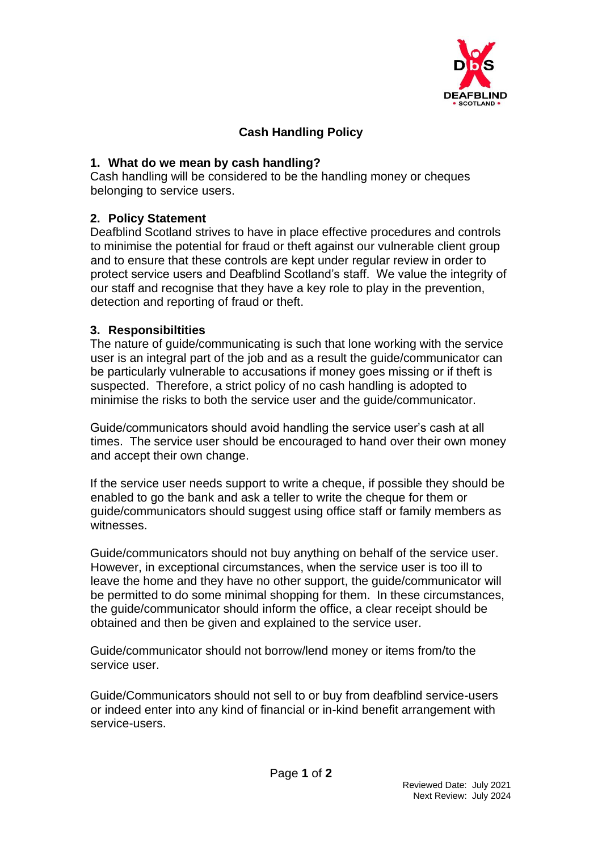

## **Cash Handling Policy**

## **1. What do we mean by cash handling?**

Cash handling will be considered to be the handling money or cheques belonging to service users.

## **2. Policy Statement**

Deafblind Scotland strives to have in place effective procedures and controls to minimise the potential for fraud or theft against our vulnerable client group and to ensure that these controls are kept under regular review in order to protect service users and Deafblind Scotland's staff. We value the integrity of our staff and recognise that they have a key role to play in the prevention, detection and reporting of fraud or theft.

## **3. Responsibiltities**

The nature of guide/communicating is such that lone working with the service user is an integral part of the job and as a result the guide/communicator can be particularly vulnerable to accusations if money goes missing or if theft is suspected. Therefore, a strict policy of no cash handling is adopted to minimise the risks to both the service user and the guide/communicator.

Guide/communicators should avoid handling the service user's cash at all times. The service user should be encouraged to hand over their own money and accept their own change.

If the service user needs support to write a cheque, if possible they should be enabled to go the bank and ask a teller to write the cheque for them or guide/communicators should suggest using office staff or family members as witnesses.

Guide/communicators should not buy anything on behalf of the service user. However, in exceptional circumstances, when the service user is too ill to leave the home and they have no other support, the guide/communicator will be permitted to do some minimal shopping for them. In these circumstances, the guide/communicator should inform the office, a clear receipt should be obtained and then be given and explained to the service user.

Guide/communicator should not borrow/lend money or items from/to the service user.

Guide/Communicators should not sell to or buy from deafblind service-users or indeed enter into any kind of financial or in-kind benefit arrangement with service-users.